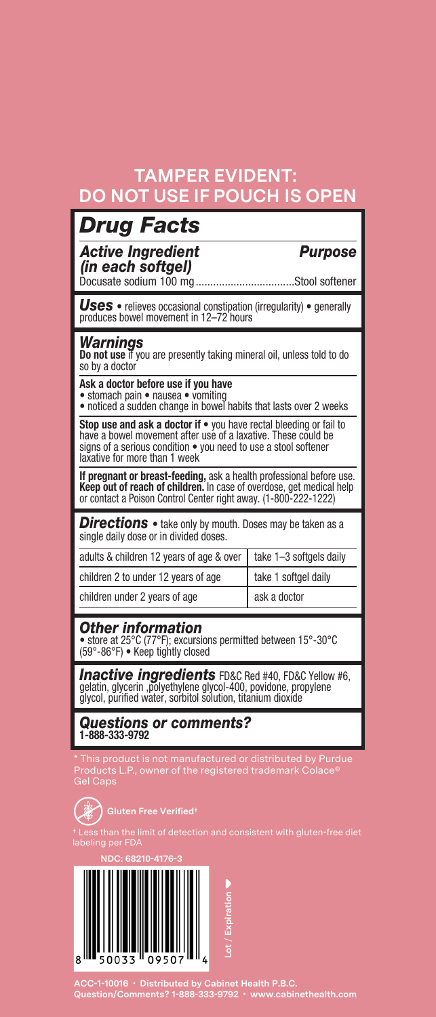### **TAMPER EVIDENT: DO NOT USE IF POUCH IS OPEN**

| <b>Drug Facts</b>                                                                                                                                                                                                                       |                         |
|-----------------------------------------------------------------------------------------------------------------------------------------------------------------------------------------------------------------------------------------|-------------------------|
| <b>Active Ingredient</b><br>(in each softgel)                                                                                                                                                                                           | <b>Purpose</b>          |
| Docusate sodium 100 mg.                                                                                                                                                                                                                 | Stool softener          |
| <b>Uses</b> • relieves occasional constipation (irregularity) • generally<br>produces bowel movement in 12-72 hours                                                                                                                     |                         |
| Warnings<br>Do not use if you are presently taking mineral oil, unless told to do<br>so by a doctor                                                                                                                                     |                         |
| Ask a doctor before use if you have<br>• stomach pain • nausea • vomiting<br>· noticed a sudden change in bowel habits that lasts over 2 weeks                                                                                          |                         |
| Stop use and ask a doctor if • you have rectal bleeding or fail to<br>have a bowel movement after use of a laxative. These could be<br>signs of a serious condition . you need to use a stool softener<br>laxative for more than 1 week |                         |
| If pregnant or breast-feeding, ask a health professional before use.<br>Keep out of reach of children. In case of overdose, get medical help<br>or contact a Poison Control Center right away. (1-800-222-1222)                         |                         |
| <b>Directions</b> • take only by mouth. Doses may be taken as a<br>single daily dose or in divided doses.                                                                                                                               |                         |
| adults & children 12 years of age & over                                                                                                                                                                                                | take 1-3 softgels daily |
| children 2 to under 12 years of age                                                                                                                                                                                                     | take 1 softgel daily    |
| children under 2 years of age                                                                                                                                                                                                           | ask a doctor            |
| <b>Other information</b><br>• store at 25°C (77°F); excursions permitted between 15°-30°C<br>(59°-86°F) . Keep tightly closed                                                                                                           |                         |
| Inactive ingredients FD&C Red #40, FD&C Yellow #6,<br>gelatin, glycerin ,polyethylene glycol-400, povidone, propylene<br>alvcol, purified water, sorbitol solution, titanium dioxide                                                    |                         |
|                                                                                                                                                                                                                                         |                         |

*Questions or comments?*  **1-888-333-9792**

\* This product is not manufactured or distributed by Purdue Products L.P., owner of the registered trademark Colace® Gel Caps



**Gluten Free Verified†**

† Less than the limit of detection and consistent with gluten-free diet labeling per FDA

**NDC: 68210-4176-3**



**ACC-1-10016 • Distributed by Cabinet Health P.B.C. Question/Comments? 1-888-333-9792 • www.cabinethealth.com**